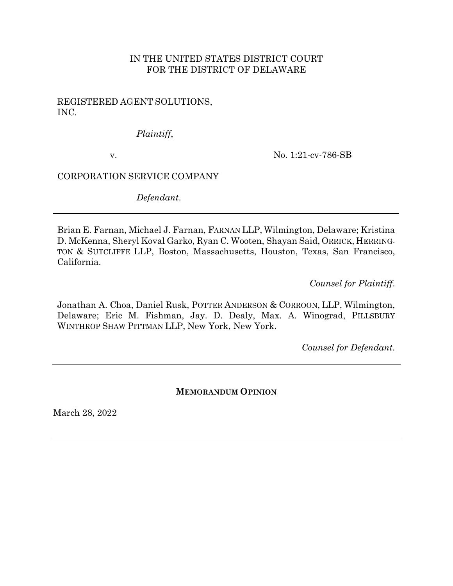## IN THE UNITED STATES DISTRICT COURT FOR THE DISTRICT OF DELAWARE

### REGISTERED AGENT SOLUTIONS, INC.

## *Plaintiff*,

v.

No. 1:21-cv-786-SB

## CORPORATION SERVICE COMPANY

*Defendant*.

Brian E. Farnan, Michael J. Farnan, FARNAN LLP, Wilmington, Delaware; Kristina D. McKenna, Sheryl Koval Garko, Ryan C. Wooten, Shayan Said, ORRICK, HERRING-TON & SUTCLIFFE LLP, Boston, Massachusetts, Houston, Texas, San Francisco, California.

*Counsel for Plaintiff*.

Jonathan A. Choa, Daniel Rusk, POTTER ANDERSON & CORROON, LLP, Wilmington, Delaware; Eric M. Fishman, Jay. D. Dealy, Max. A. Winograd, PILLSBURY WINTHROP SHAW PITTMAN LLP, New York, New York.

*Counsel for Defendant*.

### **MEMORANDUM OPINION**

March 28, 2022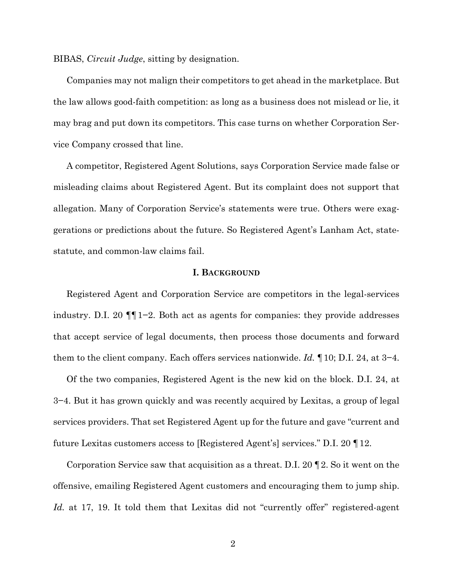BIBAS, *Circuit Judge*, sitting by designation.

Companies may not malign their competitors to get ahead in the marketplace. But the law allows good-faith competition: as long as a business does not mislead or lie, it may brag and put down its competitors. This case turns on whether Corporation Service Company crossed that line.

A competitor, Registered Agent Solutions, says Corporation Service made false or misleading claims about Registered Agent. But its complaint does not support that allegation. Many of Corporation Service's statements were true. Others were exaggerations or predictions about the future. So Registered Agent's Lanham Act, statestatute, and common-law claims fail.

### **I. BACKGROUND**

Registered Agent and Corporation Service are competitors in the legal-services industry. D.I. 20 ¶¶1−2. Both act as agents for companies: they provide addresses that accept service of legal documents, then process those documents and forward them to the client company. Each offers services nationwide. *Id.* ¶10; D.I. 24, at 3−4.

Of the two companies, Registered Agent is the new kid on the block. D.I. 24, at 3−4. But it has grown quickly and was recently acquired by Lexitas, a group of legal services providers. That set Registered Agent up for the future and gave "current and future Lexitas customers access to [Registered Agent's] services." D.I. 20 ¶12.

Corporation Service saw that acquisition as a threat. D.I. 20 ¶2. So it went on the offensive, emailing Registered Agent customers and encouraging them to jump ship. *Id.* at 17, 19. It told them that Lexitas did not "currently offer" registered-agent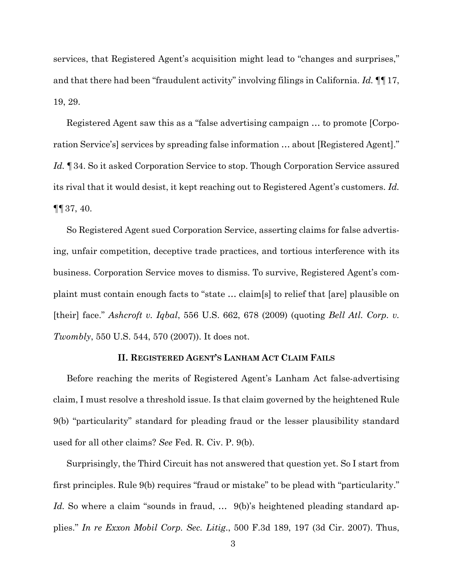services, that Registered Agent's acquisition might lead to "changes and surprises," and that there had been "fraudulent activity" involving filings in California. *Id.* ¶¶17, 19, 29.

Registered Agent saw this as a "false advertising campaign … to promote [Corporation Service's] services by spreading false information … about [Registered Agent]." *Id.* ¶34. So it asked Corporation Service to stop. Though Corporation Service assured its rival that it would desist, it kept reaching out to Registered Agent's customers. *Id.*  ¶¶37, 40.

So Registered Agent sued Corporation Service, asserting claims for false advertising, unfair competition, deceptive trade practices, and tortious interference with its business. Corporation Service moves to dismiss. To survive, Registered Agent's complaint must contain enough facts to "state … claim[s] to relief that [are] plausible on [their] face." *Ashcroft v. Iqbal*, 556 U.S. 662, 678 (2009) (quoting *Bell Atl. Corp. v. Twombly*, 550 U.S. 544, 570 (2007)). It does not.

### **II. REGISTERED AGENT'S LANHAM ACT CLAIM FAILS**

Before reaching the merits of Registered Agent's Lanham Act false-advertising claim, I must resolve a threshold issue. Is that claim governed by the heightened Rule 9(b) "particularity" standard for pleading fraud or the lesser plausibility standard used for all other claims? *See* Fed. R. Civ. P. 9(b).

Surprisingly, the Third Circuit has not answered that question yet. So I start from first principles. Rule 9(b) requires "fraud or mistake" to be plead with "particularity." *Id.* So where a claim "sounds in fraud, ... 9(b)'s heightened pleading standard applies." *In re Exxon Mobil Corp. Sec. Litig*., 500 F.3d 189, 197 (3d Cir. 2007). Thus,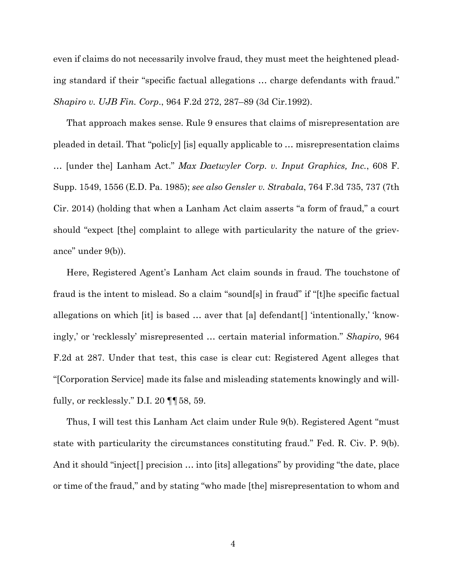even if claims do not necessarily involve fraud, they must meet the heightened pleading standard if their "specific factual allegations … charge defendants with fraud." *Shapiro v. UJB Fin. Corp*., 964 F.2d 272, 287–89 (3d Cir.1992).

That approach makes sense. Rule 9 ensures that claims of misrepresentation are pleaded in detail. That "polic[y] [is] equally applicable to … misrepresentation claims … [under the] Lanham Act." *Max Daetwyler Corp. v. Input Graphics, Inc.*, 608 F. Supp. 1549, 1556 (E.D. Pa. 1985); *see also Gensler v. Strabala*, 764 F.3d 735, 737 (7th Cir. 2014) (holding that when a Lanham Act claim asserts "a form of fraud," a court should "expect [the] complaint to allege with particularity the nature of the grievance" under 9(b)).

Here, Registered Agent's Lanham Act claim sounds in fraud. The touchstone of fraud is the intent to mislead. So a claim "sound[s] in fraud" if "[t]he specific factual allegations on which [it] is based … aver that [a] defendant[] 'intentionally,' 'knowingly,' or 'recklessly' misrepresented … certain material information." *Shapiro*, 964 F.2d at 287. Under that test, this case is clear cut: Registered Agent alleges that "[Corporation Service] made its false and misleading statements knowingly and willfully, or recklessly." D.I. 20 ¶¶58, 59.

Thus, I will test this Lanham Act claim under Rule 9(b). Registered Agent "must state with particularity the circumstances constituting fraud." Fed. R. Civ. P. 9(b). And it should "inject<sup>[]</sup> precision ... into [its] allegations" by providing "the date, place or time of the fraud," and by stating "who made [the] misrepresentation to whom and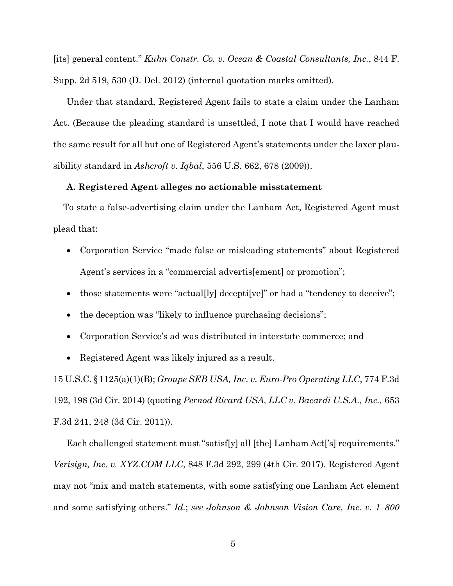[its] general content." *Kuhn Constr. Co. v. Ocean & Coastal Consultants, Inc.*, 844 F. Supp. 2d 519, 530 (D. Del. 2012) (internal quotation marks omitted).

Under that standard, Registered Agent fails to state a claim under the Lanham Act. (Because the pleading standard is unsettled, I note that I would have reached the same result for all but one of Registered Agent's statements under the laxer plausibility standard in *Ashcroft v. Iqbal*, 556 U.S. 662, 678 (2009)).

### **A. Registered Agent alleges no actionable misstatement**

To state a false-advertising claim under the Lanham Act, Registered Agent must plead that:

- Corporation Service "made false or misleading statements" about Registered Agent's services in a "commercial advertis[ement] or promotion";
- those statements were "actual [ly] deceptify verify or had a "tendency to deceive";
- the deception was "likely to influence purchasing decisions";
- Corporation Service's ad was distributed in interstate commerce; and
- Registered Agent was likely injured as a result.

15 U.S.C. §1125(a)(1)(B); *Groupe SEB USA, Inc. v. Euro-Pro Operating LLC*, 774 F.3d 192, 198 (3d Cir. 2014) (quoting *Pernod Ricard USA, LLC v. Bacardi U.S.A., Inc.,* 653 F.3d 241, 248 (3d Cir. 2011)).

Each challenged statement must "satisf[y] all [the] Lanham Act['s] requirements." *Verisign, Inc. v. XYZ.COM LLC*, 848 F.3d 292, 299 (4th Cir. 2017). Registered Agent may not "mix and match statements, with some satisfying one Lanham Act element and some satisfying others." *Id.*; *see Johnson & Johnson Vision Care, Inc. v. 1–800*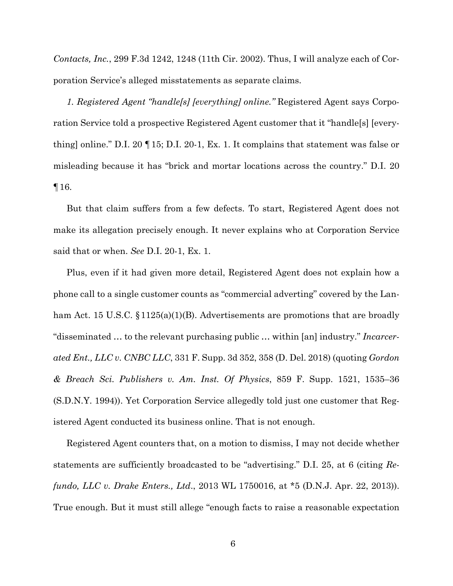*Contacts, Inc.*, 299 F.3d 1242, 1248 (11th Cir. 2002). Thus, I will analyze each of Corporation Service's alleged misstatements as separate claims.

*1. Registered Agent "handle[s] [everything] online."* Registered Agent says Corporation Service told a prospective Registered Agent customer that it "handle[s] [everything] online." D.I. 20 ¶15; D.I. 20-1, Ex. 1. It complains that statement was false or misleading because it has "brick and mortar locations across the country." D.I. 20 ¶16.

But that claim suffers from a few defects. To start, Registered Agent does not make its allegation precisely enough. It never explains who at Corporation Service said that or when. *See* D.I. 20-1, Ex. 1.

Plus, even if it had given more detail, Registered Agent does not explain how a phone call to a single customer counts as "commercial adverting" covered by the Lanham Act. 15 U.S.C. §1125(a)(1)(B). Advertisements are promotions that are broadly "disseminated … to the relevant purchasing public … within [an] industry." *Incarcerated Ent., LLC v. CNBC LLC*, 331 F. Supp. 3d 352, 358 (D. Del. 2018) (quoting *Gordon & Breach Sci. Publishers v. Am. Inst. Of Physics*, 859 F. Supp. 1521, 1535–36 (S.D.N.Y. 1994)). Yet Corporation Service allegedly told just one customer that Registered Agent conducted its business online. That is not enough.

Registered Agent counters that, on a motion to dismiss, I may not decide whether statements are sufficiently broadcasted to be "advertising." D.I. 25, at 6 (citing *Refundo, LLC v. Drake Enters., Ltd*., 2013 WL 1750016, at \*5 (D.N.J. Apr. 22, 2013)). True enough. But it must still allege "enough facts to raise a reasonable expectation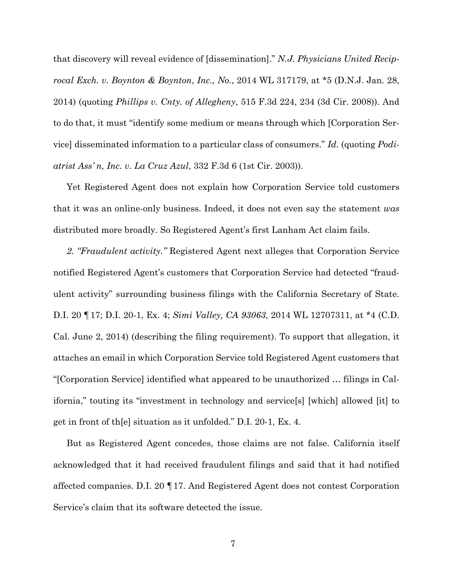that discovery will reveal evidence of [dissemination]." *N.J. Physicians United Reciprocal Exch. v. Boynton & Boynton*, *Inc., No.*, 2014 WL 317179, at \*5 (D.N.J. Jan. 28, 2014) (quoting *Phillips v. Cnty. of Allegheny*, 515 F.3d 224, 234 (3d Cir. 2008)). And to do that, it must "identify some medium or means through which [Corporation Service] disseminated information to a particular class of consumers." *Id.* (quoting *Podiatrist Ass' n, Inc. v. La Cruz Azul*, 332 F.3d 6 (1st Cir. 2003)).

Yet Registered Agent does not explain how Corporation Service told customers that it was an online-only business. Indeed, it does not even say the statement *was* distributed more broadly. So Registered Agent's first Lanham Act claim fails.

*2. "Fraudulent activity."* Registered Agent next alleges that Corporation Service notified Registered Agent's customers that Corporation Service had detected "fraudulent activity" surrounding business filings with the California Secretary of State. D.I. 20 ¶17; D.I. 20-1, Ex. 4; *Simi Valley, CA 93063*, 2014 WL 12707311, at \*4 (C.D. Cal. June 2, 2014) (describing the filing requirement). To support that allegation, it attaches an email in which Corporation Service told Registered Agent customers that "[Corporation Service] identified what appeared to be unauthorized … filings in California," touting its "investment in technology and service[s] [which] allowed [it] to get in front of th[e] situation as it unfolded." D.I. 20-1, Ex. 4.

But as Registered Agent concedes, those claims are not false. California itself acknowledged that it had received fraudulent filings and said that it had notified affected companies. D.I. 20 ¶17. And Registered Agent does not contest Corporation Service's claim that its software detected the issue.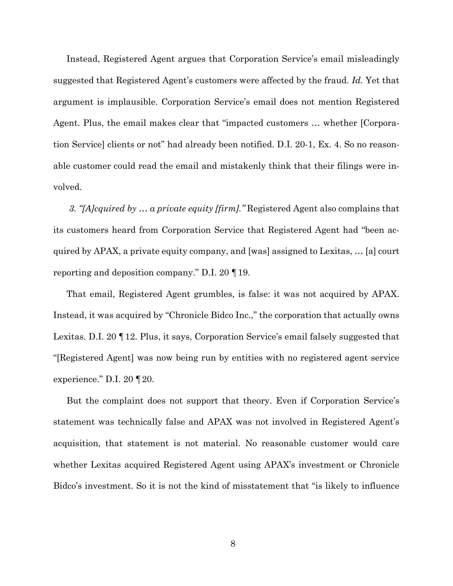Instead, Registered Agent argues that Corporation Service's email misleadingly suggested that Registered Agent's customers were affected by the fraud. *Id.* Yet that argument is implausible. Corporation Service's email does not mention Registered Agent. Plus, the email makes clear that "impacted customers … whether [Corporation Service] clients or not" had already been notified. D.I. 20-1, Ex. 4. So no reasonable customer could read the email and mistakenly think that their filings were involved.

*3. "[A]cquired by … a private equity [firm]."* Registered Agent also complains that its customers heard from Corporation Service that Registered Agent had "been acquired by APAX, a private equity company, and [was] assigned to Lexitas, … [a] court reporting and deposition company." D.I. 20 ¶19.

That email, Registered Agent grumbles, is false: it was not acquired by APAX. Instead, it was acquired by "Chronicle Bidco Inc.," the corporation that actually owns Lexitas. D.I. 20 ¶12. Plus, it says, Corporation Service's email falsely suggested that "[Registered Agent] was now being run by entities with no registered agent service experience." D.I. 20 ¶20.

But the complaint does not support that theory. Even if Corporation Service's statement was technically false and APAX was not involved in Registered Agent's acquisition, that statement is not material. No reasonable customer would care whether Lexitas acquired Registered Agent using APAX's investment or Chronicle Bidco's investment. So it is not the kind of misstatement that "is likely to influence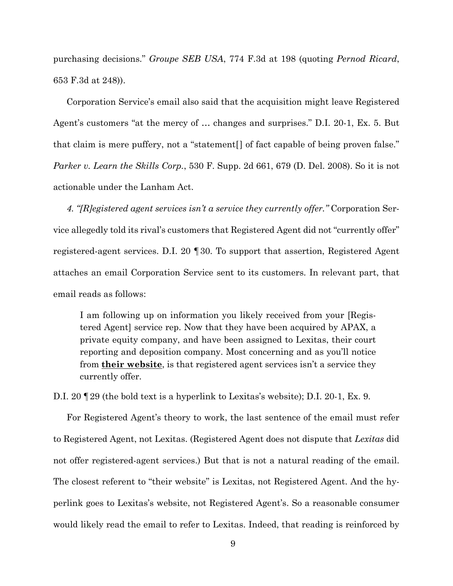purchasing decisions." *Groupe SEB USA*, 774 F.3d at 198 (quoting *Pernod Ricard*, 653 F.3d at 248)).

Corporation Service's email also said that the acquisition might leave Registered Agent's customers "at the mercy of … changes and surprises." D.I. 20-1, Ex. 5. But that claim is mere puffery, not a "statement[] of fact capable of being proven false." *Parker v. Learn the Skills Corp.*, 530 F. Supp. 2d 661, 679 (D. Del. 2008). So it is not actionable under the Lanham Act.

*4. "[R]egistered agent services isn't a service they currently offer."* Corporation Service allegedly told its rival's customers that Registered Agent did not "currently offer" registered-agent services. D.I. 20 ¶30. To support that assertion, Registered Agent attaches an email Corporation Service sent to its customers. In relevant part, that email reads as follows:

I am following up on information you likely received from your [Registered Agent] service rep. Now that they have been acquired by APAX, a private equity company, and have been assigned to Lexitas, their court reporting and deposition company. Most concerning and as you'll notice from **their website**, is that registered agent services isn't a service they currently offer.

D.I. 20 ¶29 (the bold text is a hyperlink to Lexitas's website); D.I. 20-1, Ex. 9.

For Registered Agent's theory to work, the last sentence of the email must refer to Registered Agent, not Lexitas. (Registered Agent does not dispute that *Lexitas* did not offer registered-agent services.) But that is not a natural reading of the email. The closest referent to "their website" is Lexitas, not Registered Agent. And the hyperlink goes to Lexitas's website, not Registered Agent's. So a reasonable consumer would likely read the email to refer to Lexitas. Indeed, that reading is reinforced by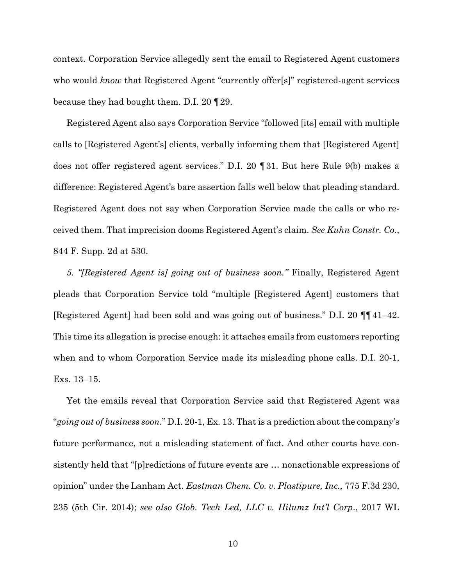context. Corporation Service allegedly sent the email to Registered Agent customers who would *know* that Registered Agent "currently offer[s]" registered-agent services because they had bought them. D.I. 20 ¶29.

Registered Agent also says Corporation Service "followed [its] email with multiple calls to [Registered Agent's] clients, verbally informing them that [Registered Agent] does not offer registered agent services." D.I. 20 ¶31. But here Rule 9(b) makes a difference: Registered Agent's bare assertion falls well below that pleading standard. Registered Agent does not say when Corporation Service made the calls or who received them. That imprecision dooms Registered Agent's claim. *See Kuhn Constr. Co.*, 844 F. Supp. 2d at 530.

*5. "[Registered Agent is] going out of business soon."* Finally, Registered Agent pleads that Corporation Service told "multiple [Registered Agent] customers that [Registered Agent] had been sold and was going out of business." D.I. 20 ¶¶41–42. This time its allegation is precise enough: it attaches emails from customers reporting when and to whom Corporation Service made its misleading phone calls. D.I. 20-1, Exs. 13–15.

Yet the emails reveal that Corporation Service said that Registered Agent was "*going out of business soon*." D.I. 20-1, Ex. 13. That is a prediction about the company's future performance, not a misleading statement of fact. And other courts have consistently held that "[p]redictions of future events are … nonactionable expressions of opinion" under the Lanham Act. *Eastman Chem. Co. v. Plastipure, Inc.,* 775 F.3d 230, 235 (5th Cir. 2014); *see also Glob. Tech Led, LLC v. Hilumz Int'l Corp*., 2017 WL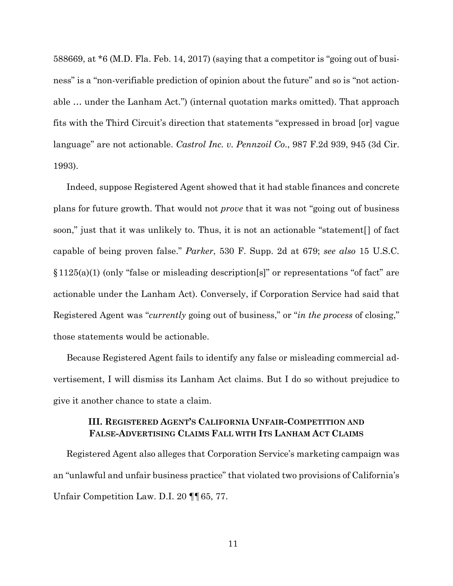588669, at \*6 (M.D. Fla. Feb. 14, 2017) (saying that a competitor is "going out of business" is a "non-verifiable prediction of opinion about the future" and so is "not actionable … under the Lanham Act.") (internal quotation marks omitted). That approach fits with the Third Circuit's direction that statements "expressed in broad [or] vague language" are not actionable. *Castrol Inc. v. Pennzoil Co*., 987 F.2d 939, 945 (3d Cir. 1993).

Indeed, suppose Registered Agent showed that it had stable finances and concrete plans for future growth. That would not *prove* that it was not "going out of business soon," just that it was unlikely to. Thus, it is not an actionable "statement[] of fact capable of being proven false." *Parker*, 530 F. Supp. 2d at 679; *see also* 15 U.S.C. §1125(a)(1) (only "false or misleading description[s]" or representations "of fact" are actionable under the Lanham Act). Conversely, if Corporation Service had said that Registered Agent was "*currently* going out of business," or "*in the process* of closing," those statements would be actionable.

Because Registered Agent fails to identify any false or misleading commercial advertisement, I will dismiss its Lanham Act claims. But I do so without prejudice to give it another chance to state a claim.

### **III. REGISTERED AGENT'S CALIFORNIA UNFAIR-COMPETITION AND FALSE-ADVERTISING CLAIMS FALL WITH ITS LANHAM ACT CLAIMS**

Registered Agent also alleges that Corporation Service's marketing campaign was an "unlawful and unfair business practice" that violated two provisions of California's Unfair Competition Law. D.I. 20 ¶¶65, 77.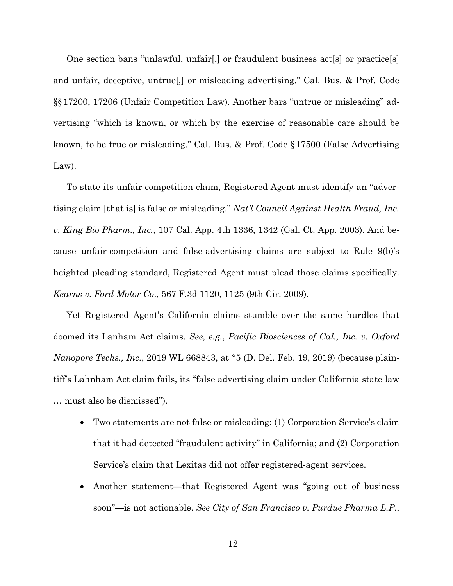One section bans "unlawful, unfair[,] or fraudulent business act[s] or practice[s] and unfair, deceptive, untrue[,] or misleading advertising." Cal. Bus. & Prof. Code §§17200, 17206 (Unfair Competition Law). Another bars "untrue or misleading" advertising "which is known, or which by the exercise of reasonable care should be known, to be true or misleading." Cal. Bus. & Prof. Code §17500 (False Advertising Law).

To state its unfair-competition claim, Registered Agent must identify an "advertising claim [that is] is false or misleading." *Nat'l Council Against Health Fraud, Inc. v. King Bio Pharm., Inc.*, 107 Cal. App. 4th 1336, 1342 (Cal. Ct. App. 2003). And because unfair-competition and false-advertising claims are subject to Rule 9(b)'s heighted pleading standard, Registered Agent must plead those claims specifically. *Kearns v. Ford Motor Co*., 567 F.3d 1120, 1125 (9th Cir. 2009).

Yet Registered Agent's California claims stumble over the same hurdles that doomed its Lanham Act claims. *See, e.g.*, *Pacific Biosciences of Cal., Inc. v. Oxford Nanopore Techs., Inc.*, 2019 WL 668843, at \*5 (D. Del. Feb. 19, 2019) (because plaintiff's Lahnham Act claim fails, its "false advertising claim under California state law … must also be dismissed").

- Two statements are not false or misleading: (1) Corporation Service's claim that it had detected "fraudulent activity" in California; and (2) Corporation Service's claim that Lexitas did not offer registered-agent services.
- Another statement—that Registered Agent was "going out of business" soon"—is not actionable. *See City of San Francisco v. Purdue Pharma L.P*.,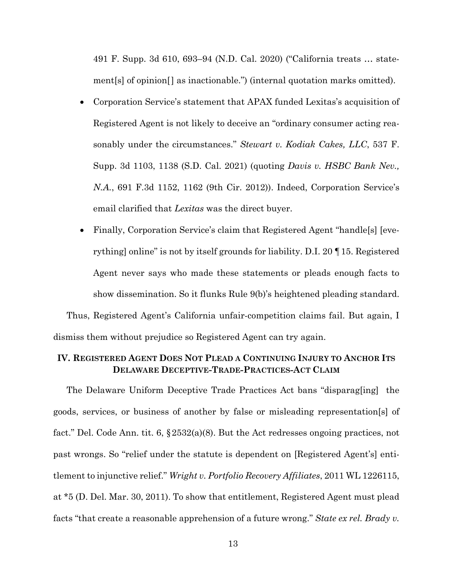491 F. Supp. 3d 610, 693–94 (N.D. Cal. 2020) ("California treats … statement[s] of opinion[] as inactionable.") (internal quotation marks omitted).

- Corporation Service's statement that APAX funded Lexitas's acquisition of Registered Agent is not likely to deceive an "ordinary consumer acting reasonably under the circumstances." *Stewart v. Kodiak Cakes, LLC*, 537 F. Supp. 3d 1103, 1138 (S.D. Cal. 2021) (quoting *Davis v. HSBC Bank Nev., N.A.*, 691 F.3d 1152, 1162 (9th Cir. 2012)). Indeed, Corporation Service's email clarified that *Lexitas* was the direct buyer.
- Finally, Corporation Service's claim that Registered Agent "handle<sup>[9]</sup> [everything] online" is not by itself grounds for liability. D.I. 20 ¶15. Registered Agent never says who made these statements or pleads enough facts to show dissemination. So it flunks Rule 9(b)'s heightened pleading standard. Thus, Registered Agent's California unfair-competition claims fail. But again, I

dismiss them without prejudice so Registered Agent can try again.

# **IV. REGISTERED AGENT DOES NOT PLEAD A CONTINUING INJURY TO ANCHOR ITS DELAWARE DECEPTIVE-TRADE-PRACTICES-ACT CLAIM**

The Delaware Uniform Deceptive Trade Practices Act bans "disparag[ing] the goods, services, or business of another by false or misleading representation[s] of fact." Del. Code Ann. tit. 6, §2532(a)(8). But the Act redresses ongoing practices, not past wrongs. So "relief under the statute is dependent on [Registered Agent's] entitlement to injunctive relief." *Wright v. Portfolio Recovery Affiliates*, 2011 WL 1226115, at \*5 (D. Del. Mar. 30, 2011). To show that entitlement, Registered Agent must plead facts "that create a reasonable apprehension of a future wrong." *State ex rel. Brady v.*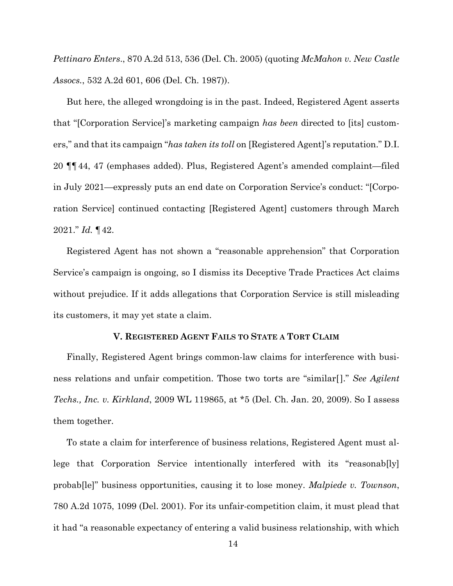*Pettinaro Enters*., 870 A.2d 513, 536 (Del. Ch. 2005) (quoting *McMahon v. New Castle Assocs.*, 532 A.2d 601, 606 (Del. Ch. 1987)).

But here, the alleged wrongdoing is in the past. Indeed, Registered Agent asserts that "[Corporation Service]'s marketing campaign *has been* directed to [its] customers," and that its campaign "*has taken its toll* on [Registered Agent]'s reputation." D.I. 20 ¶¶44, 47 (emphases added). Plus, Registered Agent's amended complaint—filed in July 2021—expressly puts an end date on Corporation Service's conduct: "[Corporation Service] continued contacting [Registered Agent] customers through March 2021." *Id.* ¶42.

Registered Agent has not shown a "reasonable apprehension" that Corporation Service's campaign is ongoing, so I dismiss its Deceptive Trade Practices Act claims without prejudice. If it adds allegations that Corporation Service is still misleading its customers, it may yet state a claim.

#### **V. REGISTERED AGENT FAILS TO STATE A TORT CLAIM**

Finally, Registered Agent brings common-law claims for interference with business relations and unfair competition. Those two torts are "similar[]." *See Agilent Techs., Inc. v. Kirkland*, 2009 WL 119865, at \*5 (Del. Ch. Jan. 20, 2009). So I assess them together.

To state a claim for interference of business relations, Registered Agent must allege that Corporation Service intentionally interfered with its "reasonab[ly] probab[le]" business opportunities, causing it to lose money. *Malpiede v. Townson*, 780 A.2d 1075, 1099 (Del. 2001). For its unfair-competition claim, it must plead that it had "a reasonable expectancy of entering a valid business relationship, with which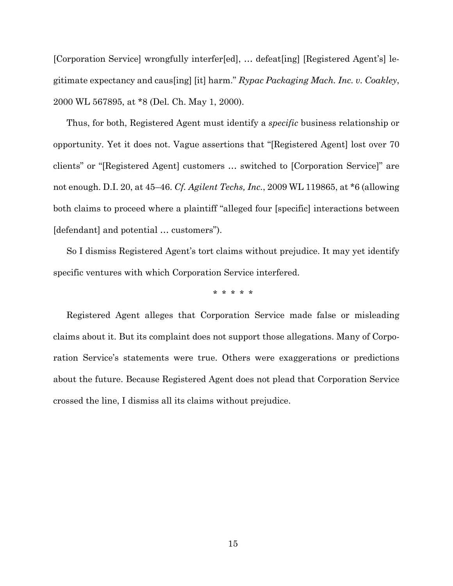[Corporation Service] wrongfully interfer[ed], … defeat[ing] [Registered Agent's] legitimate expectancy and caus[ing] [it] harm." *Rypac Packaging Mach. Inc. v. Coakley*, 2000 WL 567895, at \*8 (Del. Ch. May 1, 2000).

Thus, for both, Registered Agent must identify a *specific* business relationship or opportunity. Yet it does not. Vague assertions that "[Registered Agent] lost over 70 clients" or "[Registered Agent] customers … switched to [Corporation Service]" are not enough. D.I. 20, at 45–46. *Cf. Agilent Techs, Inc.*, 2009 WL 119865, at \*6 (allowing both claims to proceed where a plaintiff "alleged four [specific] interactions between [defendant] and potential … customers").

So I dismiss Registered Agent's tort claims without prejudice. It may yet identify specific ventures with which Corporation Service interfered.

\* \* \* \* \*

Registered Agent alleges that Corporation Service made false or misleading claims about it. But its complaint does not support those allegations. Many of Corporation Service's statements were true. Others were exaggerations or predictions about the future. Because Registered Agent does not plead that Corporation Service crossed the line, I dismiss all its claims without prejudice.